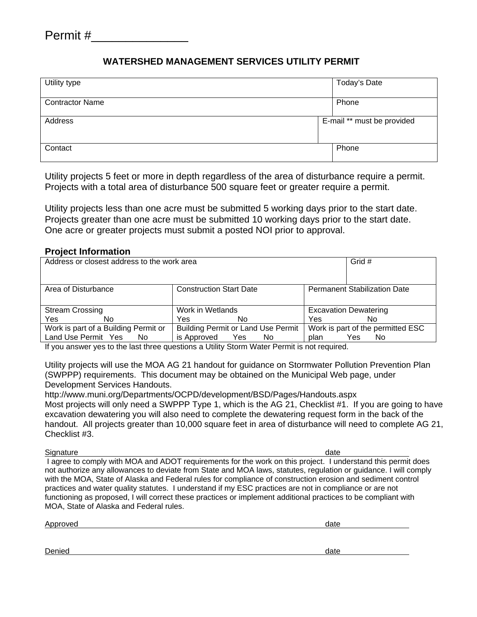## **WATERSHED MANAGEMENT SERVICES UTILITY PERMIT**

| Utility type           | Today's Date               |
|------------------------|----------------------------|
| <b>Contractor Name</b> | Phone                      |
| Address                | E-mail ** must be provided |
| Contact                | Phone                      |

Utility projects 5 feet or more in depth regardless of the area of disturbance require a permit. Projects with a total area of disturbance 500 square feet or greater require a permit.

Utility projects less than one acre must be submitted 5 working days prior to the start date. Projects greater than one acre must be submitted 10 working days prior to the start date. One acre or greater projects must submit a posted NOI prior to approval.

## **Project Information**

| Address or closest address to the work area |                                           | Grid #                              |  |
|---------------------------------------------|-------------------------------------------|-------------------------------------|--|
| Area of Disturbance                         | <b>Construction Start Date</b>            | <b>Permanent Stabilization Date</b> |  |
| <b>Stream Crossing</b>                      | Work in Wetlands                          | <b>Excavation Dewatering</b>        |  |
| Yes<br>No                                   | Yes<br>No                                 | Yes<br>No                           |  |
| Work is part of a Building Permit or        | <b>Building Permit or Land Use Permit</b> | Work is part of the permitted ESC   |  |
| Land Use Permit Yes<br>No.                  | is Approved<br>No.<br><b>Yes</b>          | plan<br>Yes<br>No.                  |  |

If you answer yes to the last three questions a Utility Storm Water Permit is not required.

Utility projects will use the MOA AG 21 handout for guidance on Stormwater Pollution Prevention Plan (SWPPP) requirements. This document may be obtained on the Municipal Web page, under Development Services Handouts.

http://www.muni.org/Departments/OCPD/development/BSD/Pages/Handouts.aspx Most projects will only need a SWPPP Type 1, which is the AG 21, Checklist #1. If you are going to have excavation dewatering you will also need to complete the dewatering request form in the back of the handout. All projects greater than 10,000 square feet in area of disturbance will need to complete AG 21, Checklist #3.

Signature date of the contract of the contract of the contract of the contract of the contract of the contract of the contract of the contract of the contract of the contract of the contract of the contract of the contract I agree to comply with MOA and ADOT requirements for the work on this project. I understand this permit does not authorize any allowances to deviate from State and MOA laws, statutes, regulation or guidance. I will comply with the MOA, State of Alaska and Federal rules for compliance of construction erosion and sediment control practices and water quality statutes. I understand if my ESC practices are not in compliance or are not functioning as proposed, I will correct these practices or implement additional practices to be compliant with MOA, State of Alaska and Federal rules.

Approved date and the contract of the contract of the contract of the contract of the contract of the contract of the contract of the contract of the contract of the contract of the contract of the contract of the contract

Denied date and the control of the control of the control of the control of the control of the control of the control of the control of the control of the control of the control of the control of the control of the control